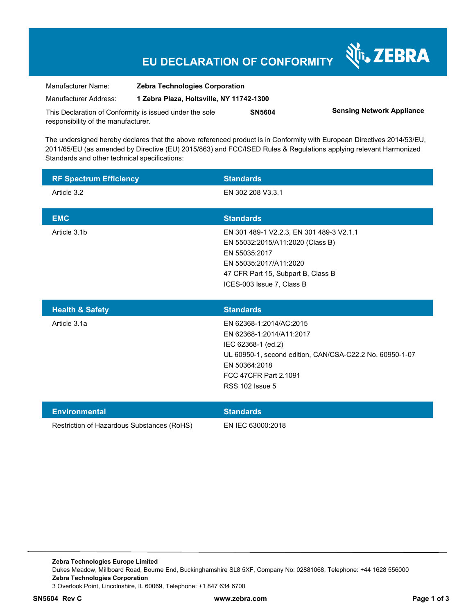## **EU DECLARATION OF CONFORMITY**

Nr. ZEBRA

| Manufacturer Name:                                      | <b>Zebra Technologies Corporation</b><br>1 Zebra Plaza, Holtsville, NY 11742-1300 |               |                                  |
|---------------------------------------------------------|-----------------------------------------------------------------------------------|---------------|----------------------------------|
| Manufacturer Address:                                   |                                                                                   |               |                                  |
| This Declaration of Conformity is issued under the sole |                                                                                   | <b>SN5604</b> | <b>Sensing Network Appliance</b> |
| responsibility of the manufacturer.                     |                                                                                   |               |                                  |

The undersigned hereby declares that the above referenced product is in Conformity with European Directives 2014/53/EU, 2011/65/EU (as amended by Directive (EU) 2015/863) and FCC/ISED Rules & Regulations applying relevant Harmonized Standards and other technical specifications:

| <b>RF Spectrum Efficiency</b> | <b>Standards</b>                         |
|-------------------------------|------------------------------------------|
| Article 3.2                   | EN 302 208 V3.3.1                        |
|                               |                                          |
| <b>EMC</b>                    | <b>Standards</b>                         |
| Article 3.1b                  | EN 301 489-1 V2.2.3, EN 301 489-3 V2.1.1 |
|                               | EN 55032:2015/A11:2020 (Class B)         |
|                               | EN 55035:2017                            |
|                               | EN 55035:2017/A11:2020                   |
|                               | 47 CFR Part 15, Subpart B, Class B       |
|                               | ICES-003 Issue 7, Class B                |
|                               |                                          |
|                               |                                          |

| <b>Health &amp; Safety</b> | <b>Standards</b>                                         |
|----------------------------|----------------------------------------------------------|
| Article 3.1a               | EN 62368-1:2014/AC:2015                                  |
|                            | EN 62368-1:2014/A11:2017                                 |
|                            | IEC 62368-1 (ed.2)                                       |
|                            | UL 60950-1, second edition, CAN/CSA-C22.2 No. 60950-1-07 |
|                            | EN 50364:2018                                            |
|                            | FCC 47CFR Part 2.1091                                    |
|                            | <b>RSS 102 Issue 5</b>                                   |
|                            |                                                          |

| Environmental                              | <b>Standards</b>  |
|--------------------------------------------|-------------------|
| Restriction of Hazardous Substances (RoHS) | EN IEC 63000:2018 |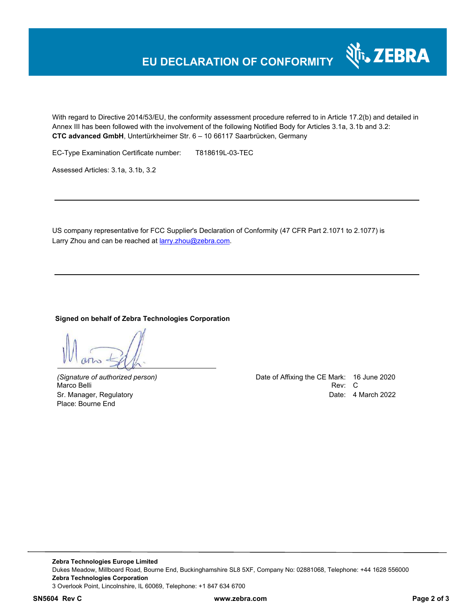## **EU DECLARATION OF CONFORMITY**

With regard to Directive 2014/53/EU, the conformity assessment procedure referred to in Article 17.2(b) and detailed in Annex III has been followed with the involvement of the following Notified Body for Articles 3.1a, 3.1b and 3.2: **CTC advanced GmbH**, Untertürkheimer Str. 6 – 10 66117 Saarbrücken, Germany

EC-Type Examination Certificate number: T818619L-03-TEC

Assessed Articles: 3.1a, 3.1b, 3.2

US company representative for FCC Supplier's Declaration of Conformity (47 CFR Part 2.1071 to 2.1077) is Larry Zhou and can be reached at **larry.zhou@zebra.com.** 

#### **Signed on behalf of Zebra Technologies Corporation**

Place: Bourne End

*(Signature of authorized person)* Date of Affixing the CE Mark: 16 June 2020 Marco Belli Rev: Compared to the control of the control of the control of the control of the control of the control of the control of the control of the control of the control of the control of the control of the control o Sr. Manager, Regulatory Date: 4 March 2022

र्शे<sub>ं</sub> ZEBRA